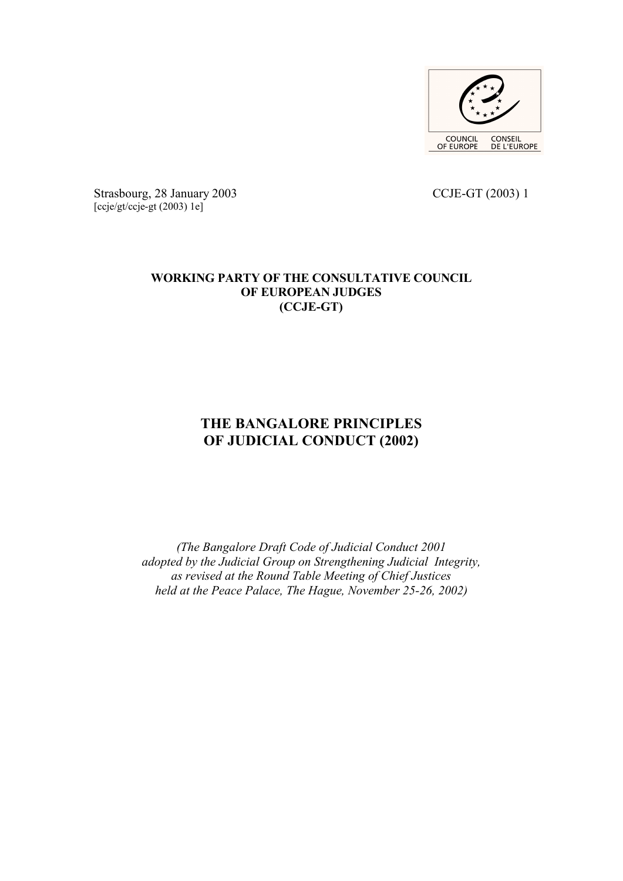

Strasbourg, 28 January 2003 CCJE-GT (2003) 1 [ccje/gt/ccje-gt (2003) 1e]

# **WORKING PARTY OF THE CONSULTATIVE COUNCIL OF EUROPEAN JUDGES (CCJE-GT)**

# **THE BANGALORE PRINCIPLES OF JUDICIAL CONDUCT (2002)**

*(The Bangalore Draft Code of Judicial Conduct 2001 adopted by the Judicial Group on Strengthening Judicial Integrity, as revised at the Round Table Meeting of Chief Justices held at the Peace Palace, The Hague, November 25-26, 2002)*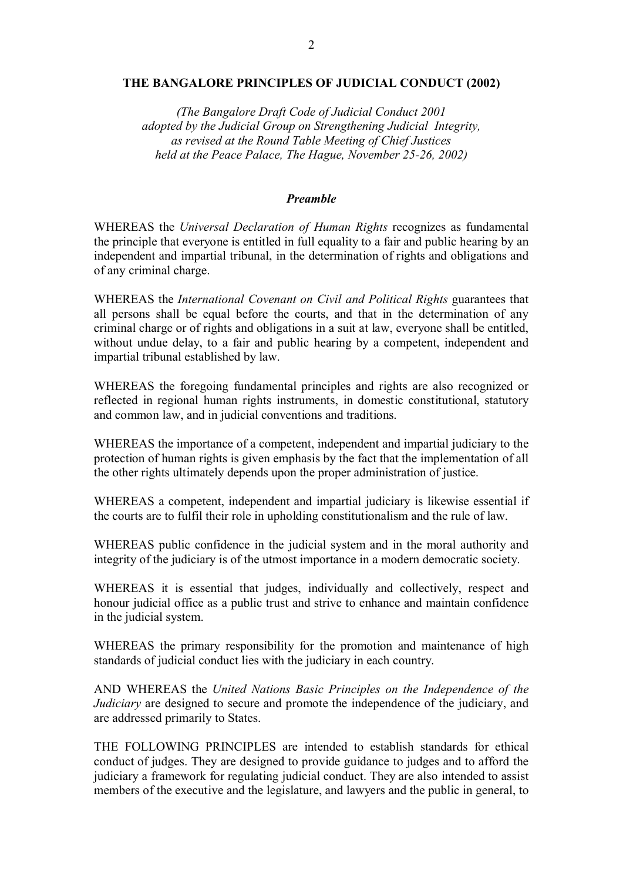#### **THE BANGALORE PRINCIPLES OF JUDICIAL CONDUCT (2002)**

*(The Bangalore Draft Code of Judicial Conduct 2001 adopted by the Judicial Group on Strengthening Judicial Integrity, as revised at the Round Table Meeting of Chief Justices held at the Peace Palace, The Hague, November 25-26, 2002)*

#### *Preamble*

WHEREAS the *Universal Declaration of Human Rights* recognizes as fundamental the principle that everyone is entitled in full equality to a fair and public hearing by an independent and impartial tribunal, in the determination of rights and obligations and of any criminal charge.

WHEREAS the *International Covenant on Civil and Political Rights* guarantees that all persons shall be equal before the courts, and that in the determination of any criminal charge or of rights and obligations in a suit at law, everyone shall be entitled, without undue delay, to a fair and public hearing by a competent, independent and impartial tribunal established by law.

WHEREAS the foregoing fundamental principles and rights are also recognized or reflected in regional human rights instruments, in domestic constitutional, statutory and common law, and in judicial conventions and traditions.

WHEREAS the importance of a competent, independent and impartial judiciary to the protection of human rights is given emphasis by the fact that the implementation of all the other rights ultimately depends upon the proper administration of justice.

WHEREAS a competent, independent and impartial judiciary is likewise essential if the courts are to fulfil their role in upholding constitutionalism and the rule of law.

WHEREAS public confidence in the judicial system and in the moral authority and integrity of the judiciary is of the utmost importance in a modern democratic society.

WHEREAS it is essential that judges, individually and collectively, respect and honour judicial office as a public trust and strive to enhance and maintain confidence in the judicial system.

WHEREAS the primary responsibility for the promotion and maintenance of high standards of judicial conduct lies with the judiciary in each country.

AND WHEREAS the *United Nations Basic Principles on the Independence of the Judiciary* are designed to secure and promote the independence of the judiciary, and are addressed primarily to States.

THE FOLLOWING PRINCIPLES are intended to establish standards for ethical conduct of judges. They are designed to provide guidance to judges and to afford the judiciary a framework for regulating judicial conduct. They are also intended to assist members of the executive and the legislature, and lawyers and the public in general, to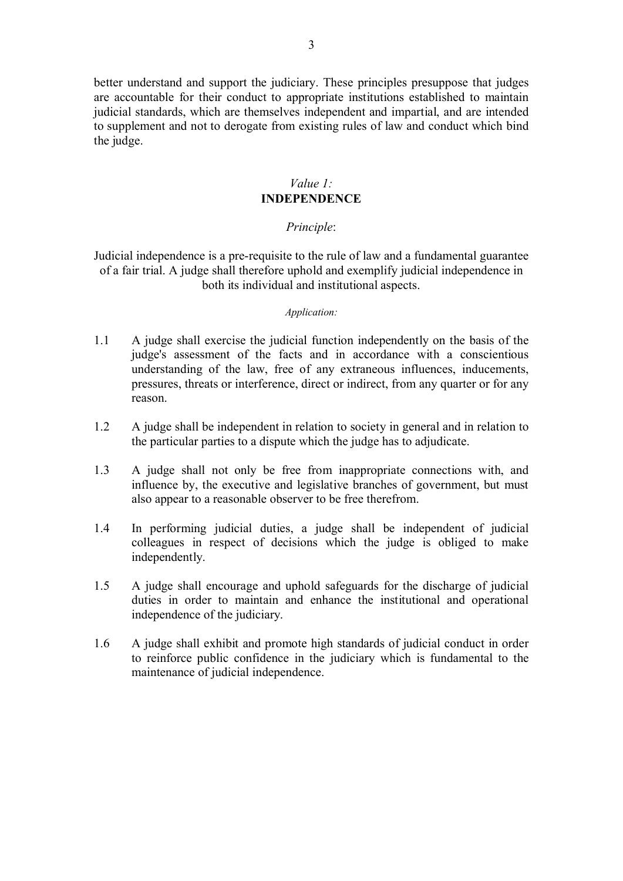better understand and support the judiciary. These principles presuppose that judges are accountable for their conduct to appropriate institutions established to maintain judicial standards, which are themselves independent and impartial, and are intended to supplement and not to derogate from existing rules of law and conduct which bind the judge.

# *Value 1:* **INDEPENDENCE**

### *Principle*:

Judicial independence is a pre-requisite to the rule of law and a fundamental guarantee of a fair trial. A judge shall therefore uphold and exemplify judicial independence in both its individual and institutional aspects.

#### *Application:*

- 1.1 A judge shall exercise the judicial function independently on the basis of the judge's assessment of the facts and in accordance with a conscientious understanding of the law, free of any extraneous influences, inducements, pressures, threats or interference, direct or indirect, from any quarter or for any reason.
- 1.2 A judge shall be independent in relation to society in general and in relation to the particular parties to a dispute which the judge has to adjudicate.
- 1.3 A judge shall not only be free from inappropriate connections with, and influence by, the executive and legislative branches of government, but must also appear to a reasonable observer to be free therefrom.
- 1.4 In performing judicial duties, a judge shall be independent of judicial colleagues in respect of decisions which the judge is obliged to make independently.
- 1.5 A judge shall encourage and uphold safeguards for the discharge of judicial duties in order to maintain and enhance the institutional and operational independence of the judiciary.
- 1.6 A judge shall exhibit and promote high standards of judicial conduct in order to reinforce public confidence in the judiciary which is fundamental to the maintenance of judicial independence.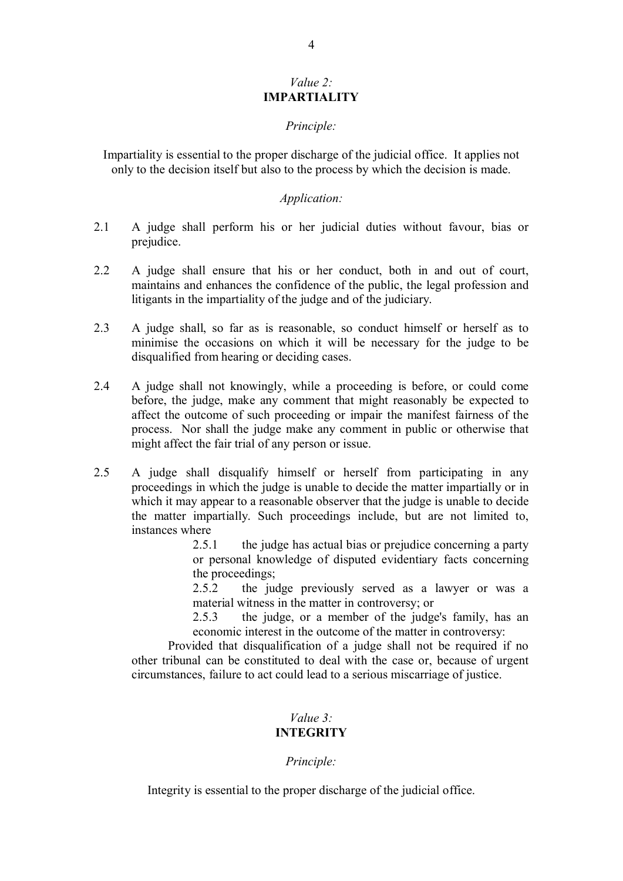### *Value 2:* **IMPARTIALITY**

### *Principle:*

Impartiality is essential to the proper discharge of the judicial office. It applies not only to the decision itself but also to the process by which the decision is made.

## *Application:*

- 2.1 A judge shall perform his or her judicial duties without favour, bias or prejudice.
- 2.2 A judge shall ensure that his or her conduct, both in and out of court, maintains and enhances the confidence of the public, the legal profession and litigants in the impartiality of the judge and of the judiciary.
- 2.3 A judge shall, so far as is reasonable, so conduct himself or herself as to minimise the occasions on which it will be necessary for the judge to be disqualified from hearing or deciding cases.
- 2.4 A judge shall not knowingly, while a proceeding is before, or could come before, the judge, make any comment that might reasonably be expected to affect the outcome of such proceeding or impair the manifest fairness of the process. Nor shall the judge make any comment in public or otherwise that might affect the fair trial of any person or issue.
- 2.5 A judge shall disqualify himself or herself from participating in any proceedings in which the judge is unable to decide the matter impartially or in which it may appear to a reasonable observer that the judge is unable to decide the matter impartially. Such proceedings include, but are not limited to, instances where

2.5.1 the judge has actual bias or prejudice concerning a party or personal knowledge of disputed evidentiary facts concerning the proceedings;

2.5.2 the judge previously served as a lawyer or was a material witness in the matter in controversy; or

2.5.3 the judge, or a member of the judge's family, has an economic interest in the outcome of the matter in controversy:

Provided that disqualification of a judge shall not be required if no other tribunal can be constituted to deal with the case or, because of urgent circumstances, failure to act could lead to a serious miscarriage of justice.

# *Value 3:* **INTEGRITY**

# *Principle:*

Integrity is essential to the proper discharge of the judicial office.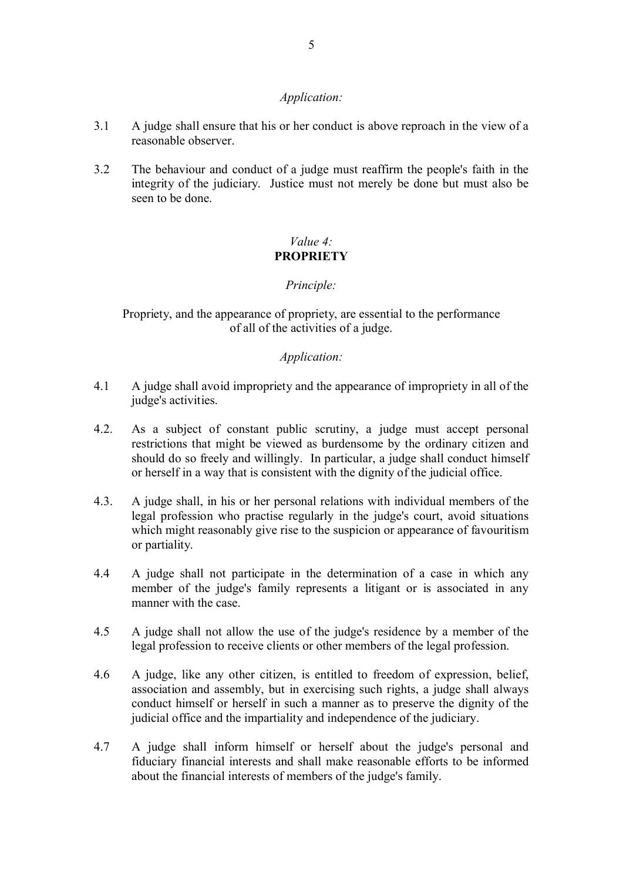# *Application:*

- 3.1 A judge shall ensure that his or her conduct is above reproach in the view of a reasonable observer.
- 3.2 The behaviour and conduct of a judge must reaffirm the people's faith in the integrity of the judiciary. Justice must not merely be done but must also be seen to be done.

# *Value 4:* **PROPRIETY**

# *Principle:*

Propriety, and the appearance of propriety, are essential to the performance of all of the activities of a judge.

# *Application:*

- 4.1 A judge shall avoid impropriety and the appearance of impropriety in all of the judge's activities.
- 4.2. As a subject of constant public scrutiny, a judge must accept personal restrictions that might be viewed as burdensome by the ordinary citizen and should do so freely and willingly. In particular, a judge shall conduct himself or herself in a way that is consistent with the dignity of the judicial office.
- 4.3. A judge shall, in his or her personal relations with individual members of the legal profession who practise regularly in the judge's court, avoid situations which might reasonably give rise to the suspicion or appearance of favouritism or partiality.
- 4.4 A judge shall not participate in the determination of a case in which any member of the judge's family represents a litigant or is associated in any manner with the case.
- 4.5 A judge shall not allow the use of the judge's residence by a member of the legal profession to receive clients or other members of the legal profession.
- 4.6 A judge, like any other citizen, is entitled to freedom of expression, belief, association and assembly, but in exercising such rights, a judge shall always conduct himself or herself in such a manner as to preserve the dignity of the judicial office and the impartiality and independence of the judiciary.
- 4.7 A judge shall inform himself or herself about the judge's personal and fiduciary financial interests and shall make reasonable efforts to be informed about the financial interests of members of the judge's family.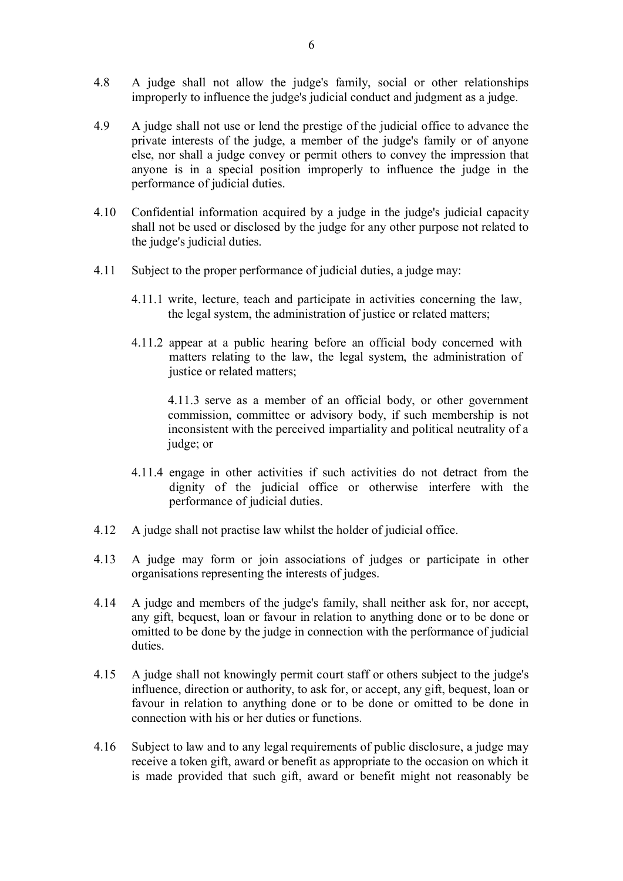- 4.8 A judge shall not allow the judge's family, social or other relationships improperly to influence the judge's judicial conduct and judgment as a judge.
- 4.9 A judge shall not use or lend the prestige of the judicial office to advance the private interests of the judge, a member of the judge's family or of anyone else, nor shall a judge convey or permit others to convey the impression that anyone is in a special position improperly to influence the judge in the performance of judicial duties.
- 4.10 Confidential information acquired by a judge in the judge's judicial capacity shall not be used or disclosed by the judge for any other purpose not related to the judge's judicial duties.
- 4.11 Subject to the proper performance of judicial duties, a judge may:
	- 4.11.1 write, lecture, teach and participate in activities concerning the law, the legal system, the administration of justice or related matters;
	- 4.11.2 appear at a public hearing before an official body concerned with matters relating to the law, the legal system, the administration of justice or related matters;

4.11.3 serve as a member of an official body, or other government commission, committee or advisory body, if such membership is not inconsistent with the perceived impartiality and political neutrality of a judge; or

- 4.11.4 engage in other activities if such activities do not detract from the dignity of the judicial office or otherwise interfere with the performance of judicial duties.
- 4.12 A judge shall not practise law whilst the holder of judicial office.
- 4.13 A judge may form or join associations of judges or participate in other organisations representing the interests of judges.
- 4.14 A judge and members of the judge's family, shall neither ask for, nor accept, any gift, bequest, loan or favour in relation to anything done or to be done or omitted to be done by the judge in connection with the performance of judicial duties.
- 4.15 A judge shall not knowingly permit court staff or others subject to the judge's influence, direction or authority, to ask for, or accept, any gift, bequest, loan or favour in relation to anything done or to be done or omitted to be done in connection with his or her duties or functions.
- 4.16 Subject to law and to any legal requirements of public disclosure, a judge may receive a token gift, award or benefit as appropriate to the occasion on which it is made provided that such gift, award or benefit might not reasonably be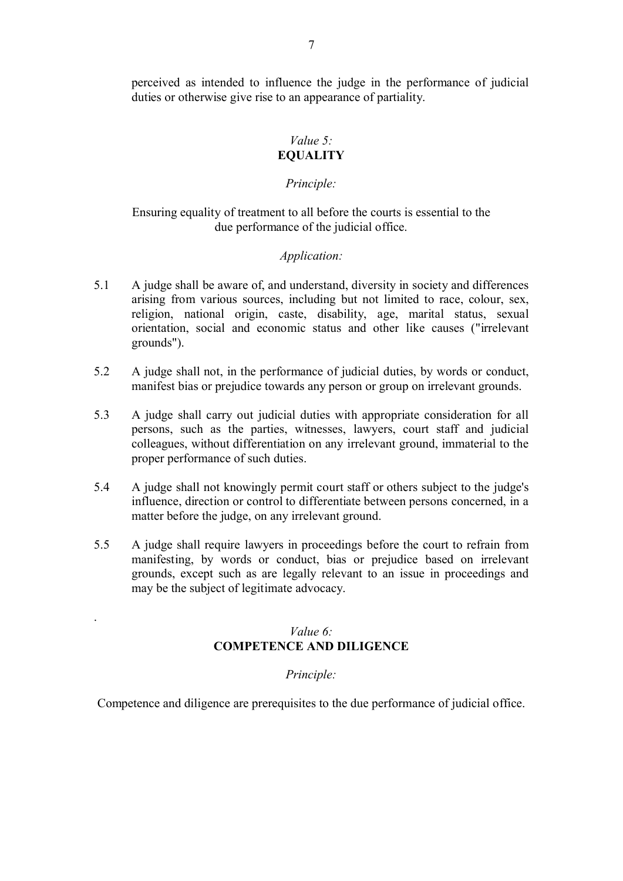perceived as intended to influence the judge in the performance of judicial duties or otherwise give rise to an appearance of partiality.

# *Value 5:* **EQUALITY**

# *Principle:*

# Ensuring equality of treatment to all before the courts is essential to the due performance of the judicial office.

### *Application:*

- 5.1 A judge shall be aware of, and understand, diversity in society and differences arising from various sources, including but not limited to race, colour, sex, religion, national origin, caste, disability, age, marital status, sexual orientation, social and economic status and other like causes ("irrelevant grounds").
- 5.2 A judge shall not, in the performance of judicial duties, by words or conduct, manifest bias or prejudice towards any person or group on irrelevant grounds.
- 5.3 A judge shall carry out judicial duties with appropriate consideration for all persons, such as the parties, witnesses, lawyers, court staff and judicial colleagues, without differentiation on any irrelevant ground, immaterial to the proper performance of such duties.
- 5.4 A judge shall not knowingly permit court staff or others subject to the judge's influence, direction or control to differentiate between persons concerned, in a matter before the judge, on any irrelevant ground.
- 5.5 A judge shall require lawyers in proceedings before the court to refrain from manifesting, by words or conduct, bias or prejudice based on irrelevant grounds, except such as are legally relevant to an issue in proceedings and may be the subject of legitimate advocacy.

# *Value 6:* **COMPETENCE AND DILIGENCE**

.

#### *Principle:*

Competence and diligence are prerequisites to the due performance of judicial office.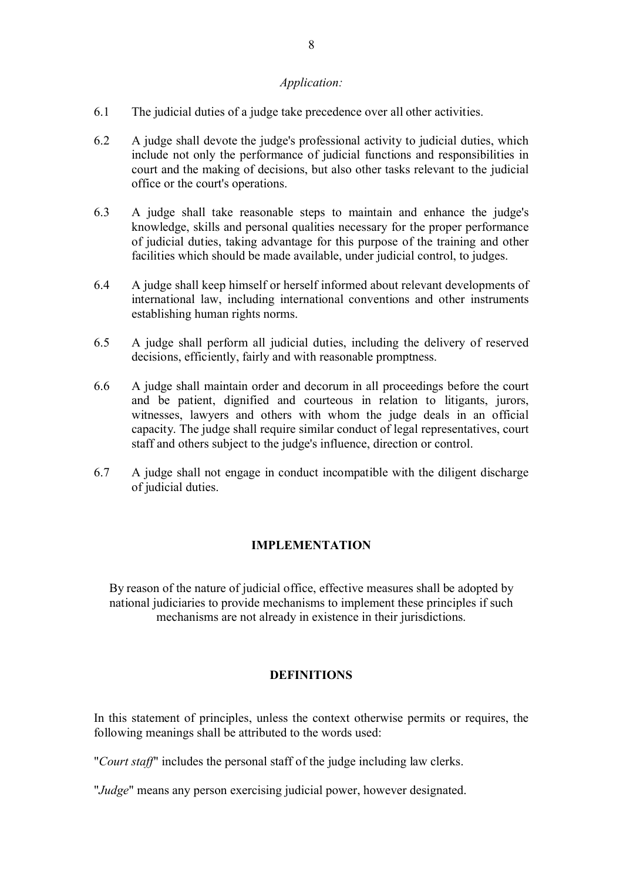# *Application:*

- 6.1 The judicial duties of a judge take precedence over all other activities.
- 6.2 A judge shall devote the judge's professional activity to judicial duties, which include not only the performance of judicial functions and responsibilities in court and the making of decisions, but also other tasks relevant to the judicial office or the court's operations.
- 6.3 A judge shall take reasonable steps to maintain and enhance the judge's knowledge, skills and personal qualities necessary for the proper performance of judicial duties, taking advantage for this purpose of the training and other facilities which should be made available, under judicial control, to judges.
- 6.4 A judge shall keep himself or herself informed about relevant developments of international law, including international conventions and other instruments establishing human rights norms.
- 6.5 A judge shall perform all judicial duties, including the delivery of reserved decisions, efficiently, fairly and with reasonable promptness.
- 6.6 A judge shall maintain order and decorum in all proceedings before the court and be patient, dignified and courteous in relation to litigants, jurors, witnesses, lawyers and others with whom the judge deals in an official capacity. The judge shall require similar conduct of legal representatives, court staff and others subject to the judge's influence, direction or control.
- 6.7 A judge shall not engage in conduct incompatible with the diligent discharge of judicial duties.

# **IMPLEMENTATION**

By reason of the nature of judicial office, effective measures shall be adopted by national judiciaries to provide mechanisms to implement these principles if such mechanisms are not already in existence in their jurisdictions.

# **DEFINITIONS**

In this statement of principles, unless the context otherwise permits or requires, the following meanings shall be attributed to the words used:

"*Court staff*" includes the personal staff of the judge including law clerks.

"*Judge*" means any person exercising judicial power, however designated.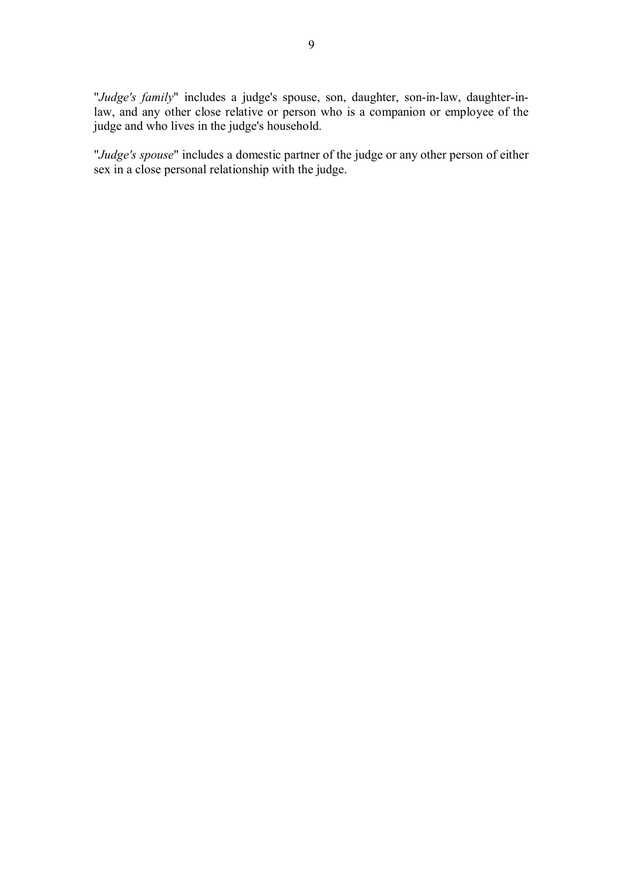"*Judge's family*" includes a judge's spouse, son, daughter, son-in-law, daughter-inlaw, and any other close relative or person who is a companion or employee of the judge and who lives in the judge's household.

"*Judge's spouse*" includes a domestic partner of the judge or any other person of either sex in a close personal relationship with the judge.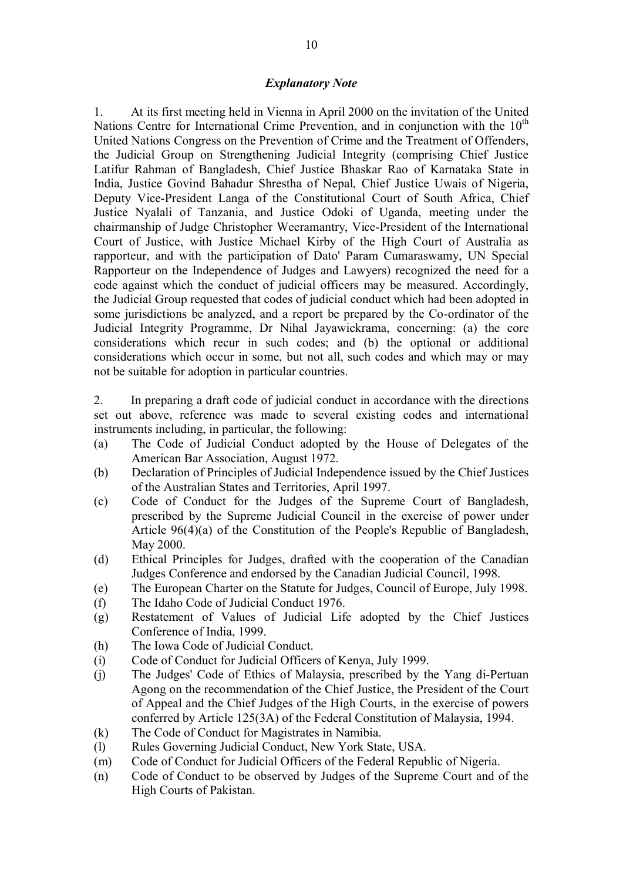## *Explanatory Note*

1. At its first meeting held in Vienna in April 2000 on the invitation of the United Nations Centre for International Crime Prevention, and in conjunction with the  $10<sup>th</sup>$ United Nations Congress on the Prevention of Crime and the Treatment of Offenders, the Judicial Group on Strengthening Judicial Integrity (comprising Chief Justice Latifur Rahman of Bangladesh, Chief Justice Bhaskar Rao of Karnataka State in India, Justice Govind Bahadur Shrestha of Nepal, Chief Justice Uwais of Nigeria, Deputy Vice-President Langa of the Constitutional Court of South Africa, Chief Justice Nyalali of Tanzania, and Justice Odoki of Uganda, meeting under the chairmanship of Judge Christopher Weeramantry, Vice-President of the International Court of Justice, with Justice Michael Kirby of the High Court of Australia as rapporteur, and with the participation of Dato' Param Cumaraswamy, UN Special Rapporteur on the Independence of Judges and Lawyers) recognized the need for a code against which the conduct of judicial officers may be measured. Accordingly, the Judicial Group requested that codes of judicial conduct which had been adopted in some jurisdictions be analyzed, and a report be prepared by the Co-ordinator of the Judicial Integrity Programme, Dr Nihal Jayawickrama, concerning: (a) the core considerations which recur in such codes; and (b) the optional or additional considerations which occur in some, but not all, such codes and which may or may not be suitable for adoption in particular countries.

2. In preparing a draft code of judicial conduct in accordance with the directions set out above, reference was made to several existing codes and international instruments including, in particular, the following:

- (a) The Code of Judicial Conduct adopted by the House of Delegates of the American Bar Association, August 1972.
- (b) Declaration of Principles of Judicial Independence issued by the Chief Justices of the Australian States and Territories, April 1997.
- (c) Code of Conduct for the Judges of the Supreme Court of Bangladesh, prescribed by the Supreme Judicial Council in the exercise of power under Article 96(4)(a) of the Constitution of the People's Republic of Bangladesh, May 2000.
- (d) Ethical Principles for Judges, drafted with the cooperation of the Canadian Judges Conference and endorsed by the Canadian Judicial Council, 1998.
- (e) The European Charter on the Statute for Judges, Council of Europe, July 1998.
- (f) The Idaho Code of Judicial Conduct 1976.
- (g) Restatement of Values of Judicial Life adopted by the Chief Justices Conference of India, 1999.
- (h) The Iowa Code of Judicial Conduct.
- (i) Code of Conduct for Judicial Officers of Kenya, July 1999.
- (j) The Judges' Code of Ethics of Malaysia, prescribed by the Yang di-Pertuan Agong on the recommendation of the Chief Justice, the President of the Court of Appeal and the Chief Judges of the High Courts, in the exercise of powers conferred by Article 125(3A) of the Federal Constitution of Malaysia, 1994.
- (k) The Code of Conduct for Magistrates in Namibia.
- (l) Rules Governing Judicial Conduct, New York State, USA.
- (m) Code of Conduct for Judicial Officers of the Federal Republic of Nigeria.
- (n) Code of Conduct to be observed by Judges of the Supreme Court and of the High Courts of Pakistan.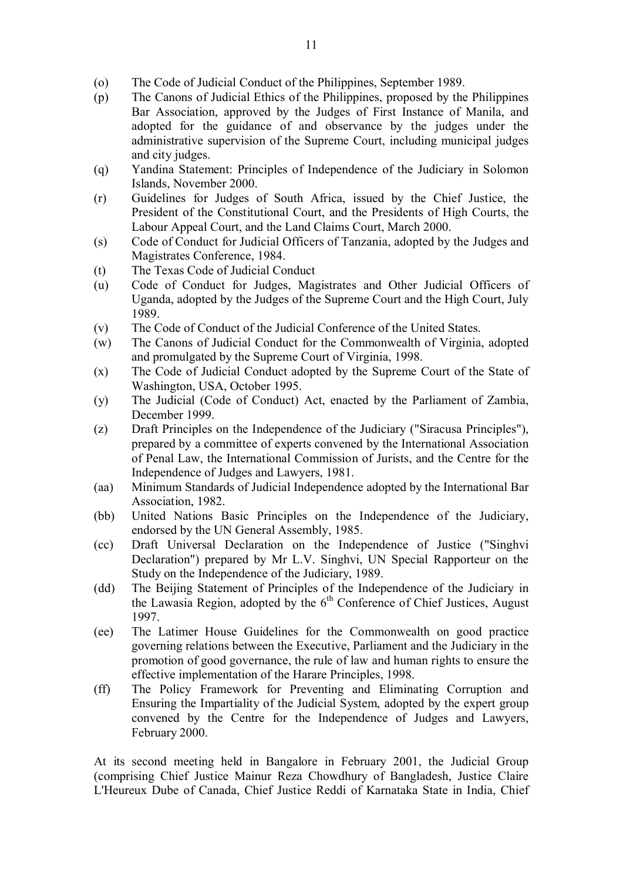- (o) The Code of Judicial Conduct of the Philippines, September 1989.
- (p) The Canons of Judicial Ethics of the Philippines, proposed by the Philippines Bar Association, approved by the Judges of First Instance of Manila, and adopted for the guidance of and observance by the judges under the administrative supervision of the Supreme Court, including municipal judges and city judges.
- (q) Yandina Statement: Principles of Independence of the Judiciary in Solomon Islands, November 2000.
- (r) Guidelines for Judges of South Africa, issued by the Chief Justice, the President of the Constitutional Court, and the Presidents of High Courts, the Labour Appeal Court, and the Land Claims Court, March 2000.
- (s) Code of Conduct for Judicial Officers of Tanzania, adopted by the Judges and Magistrates Conference, 1984.
- (t) The Texas Code of Judicial Conduct
- (u) Code of Conduct for Judges, Magistrates and Other Judicial Officers of Uganda, adopted by the Judges of the Supreme Court and the High Court, July 1989.
- (v) The Code of Conduct of the Judicial Conference of the United States.
- (w) The Canons of Judicial Conduct for the Commonwealth of Virginia, adopted and promulgated by the Supreme Court of Virginia, 1998.
- (x) The Code of Judicial Conduct adopted by the Supreme Court of the State of Washington, USA, October 1995.
- (y) The Judicial (Code of Conduct) Act, enacted by the Parliament of Zambia, December 1999.
- (z) Draft Principles on the Independence of the Judiciary ("Siracusa Principles"), prepared by a committee of experts convened by the International Association of Penal Law, the International Commission of Jurists, and the Centre for the Independence of Judges and Lawyers, 1981.
- (aa) Minimum Standards of Judicial Independence adopted by the International Bar Association, 1982.
- (bb) United Nations Basic Principles on the Independence of the Judiciary, endorsed by the UN General Assembly, 1985.
- (cc) Draft Universal Declaration on the Independence of Justice ("Singhvi Declaration") prepared by Mr L.V. Singhvi, UN Special Rapporteur on the Study on the Independence of the Judiciary, 1989.
- (dd) The Beijing Statement of Principles of the Independence of the Judiciary in the Lawasia Region, adopted by the  $6<sup>th</sup>$  Conference of Chief Justices, August 1997.
- (ee) The Latimer House Guidelines for the Commonwealth on good practice governing relations between the Executive, Parliament and the Judiciary in the promotion of good governance, the rule of law and human rights to ensure the effective implementation of the Harare Principles, 1998.
- (ff) The Policy Framework for Preventing and Eliminating Corruption and Ensuring the Impartiality of the Judicial System, adopted by the expert group convened by the Centre for the Independence of Judges and Lawyers, February 2000.

At its second meeting held in Bangalore in February 2001, the Judicial Group (comprising Chief Justice Mainur Reza Chowdhury of Bangladesh, Justice Claire L'Heureux Dube of Canada, Chief Justice Reddi of Karnataka State in India, Chief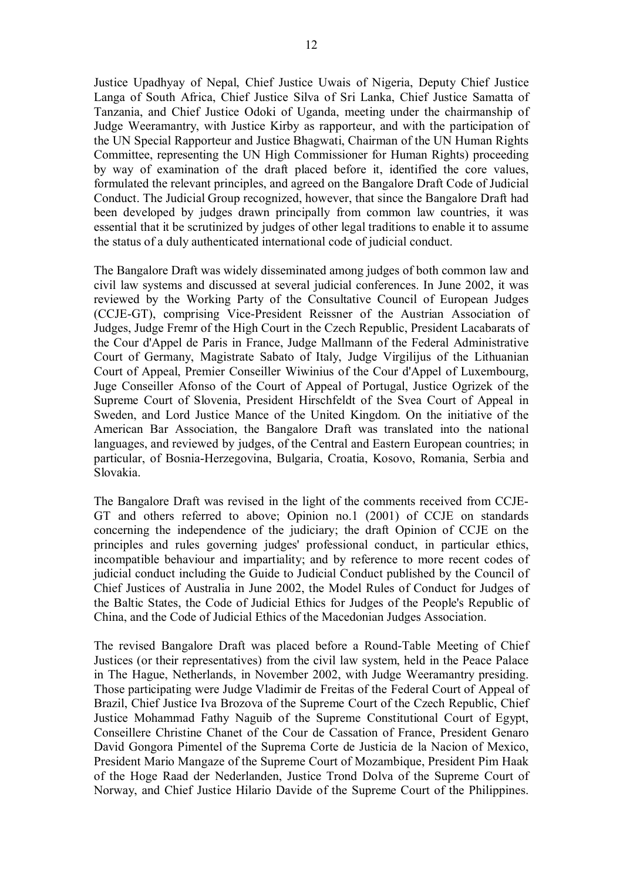Justice Upadhyay of Nepal, Chief Justice Uwais of Nigeria, Deputy Chief Justice Langa of South Africa, Chief Justice Silva of Sri Lanka, Chief Justice Samatta of Tanzania, and Chief Justice Odoki of Uganda, meeting under the chairmanship of Judge Weeramantry, with Justice Kirby as rapporteur, and with the participation of the UN Special Rapporteur and Justice Bhagwati, Chairman of the UN Human Rights Committee, representing the UN High Commissioner for Human Rights) proceeding by way of examination of the draft placed before it, identified the core values, formulated the relevant principles, and agreed on the Bangalore Draft Code of Judicial Conduct. The Judicial Group recognized, however, that since the Bangalore Draft had been developed by judges drawn principally from common law countries, it was essential that it be scrutinized by judges of other legal traditions to enable it to assume the status of a duly authenticated international code of judicial conduct.

The Bangalore Draft was widely disseminated among judges of both common law and civil law systems and discussed at several judicial conferences. In June 2002, it was reviewed by the Working Party of the Consultative Council of European Judges (CCJE-GT), comprising Vice-President Reissner of the Austrian Association of Judges, Judge Fremr of the High Court in the Czech Republic, President Lacabarats of the Cour d'Appel de Paris in France, Judge Mallmann of the Federal Administrative Court of Germany, Magistrate Sabato of Italy, Judge Virgilijus of the Lithuanian Court of Appeal, Premier Conseiller Wiwinius of the Cour d'Appel of Luxembourg, Juge Conseiller Afonso of the Court of Appeal of Portugal, Justice Ogrizek of the Supreme Court of Slovenia, President Hirschfeldt of the Svea Court of Appeal in Sweden, and Lord Justice Mance of the United Kingdom. On the initiative of the American Bar Association, the Bangalore Draft was translated into the national languages, and reviewed by judges, of the Central and Eastern European countries; in particular, of Bosnia-Herzegovina, Bulgaria, Croatia, Kosovo, Romania, Serbia and Slovakia.

The Bangalore Draft was revised in the light of the comments received from CCJE-GT and others referred to above; Opinion no.1 (2001) of CCJE on standards concerning the independence of the judiciary; the draft Opinion of CCJE on the principles and rules governing judges' professional conduct, in particular ethics, incompatible behaviour and impartiality; and by reference to more recent codes of judicial conduct including the Guide to Judicial Conduct published by the Council of Chief Justices of Australia in June 2002, the Model Rules of Conduct for Judges of the Baltic States, the Code of Judicial Ethics for Judges of the People's Republic of China, and the Code of Judicial Ethics of the Macedonian Judges Association.

The revised Bangalore Draft was placed before a Round-Table Meeting of Chief Justices (or their representatives) from the civil law system, held in the Peace Palace in The Hague, Netherlands, in November 2002, with Judge Weeramantry presiding. Those participating were Judge Vladimir de Freitas of the Federal Court of Appeal of Brazil, Chief Justice Iva Brozova of the Supreme Court of the Czech Republic, Chief Justice Mohammad Fathy Naguib of the Supreme Constitutional Court of Egypt, Conseillere Christine Chanet of the Cour de Cassation of France, President Genaro David Gongora Pimentel of the Suprema Corte de Justicia de la Nacion of Mexico, President Mario Mangaze of the Supreme Court of Mozambique, President Pim Haak of the Hoge Raad der Nederlanden, Justice Trond Dolva of the Supreme Court of Norway, and Chief Justice Hilario Davide of the Supreme Court of the Philippines.